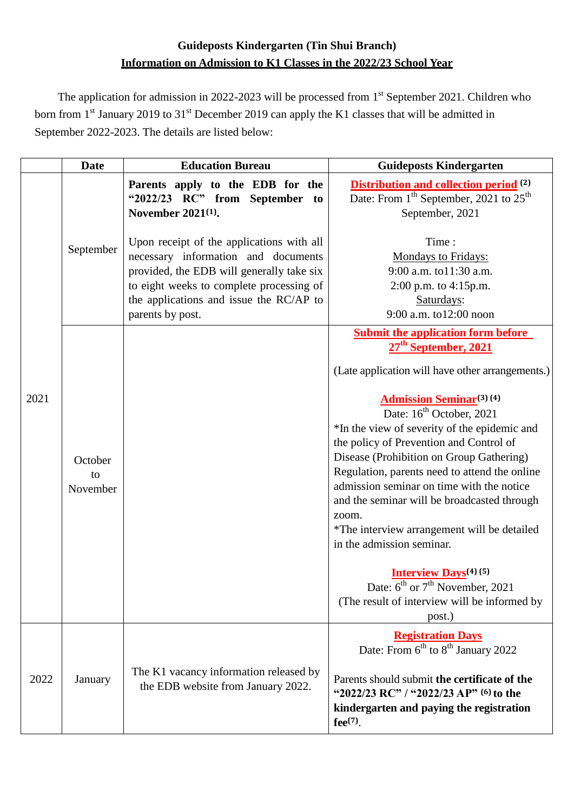# **Guideposts Kindergarten (Tin Shui Branch) Information on Admission to K1 Classes in the 2022/23 School Year**

The application for admission in 2022-2023 will be processed from 1<sup>st</sup> September 2021. Children who born from  $1<sup>st</sup>$  January 2019 to 31<sup>st</sup> December 2019 can apply the K1 classes that will be admitted in September 2022-2023. The details are listed below:

|      | <b>Date</b>               | <b>Education Bureau</b>                                                                                                                                                                                                                  | <b>Guideposts Kindergarten</b>                                                                                                                                                                                                                                                                                                                                                                                                                               |
|------|---------------------------|------------------------------------------------------------------------------------------------------------------------------------------------------------------------------------------------------------------------------------------|--------------------------------------------------------------------------------------------------------------------------------------------------------------------------------------------------------------------------------------------------------------------------------------------------------------------------------------------------------------------------------------------------------------------------------------------------------------|
|      | September                 | Parents apply to the EDB for the<br>"2022/23 RC" from September to<br>November 2021 <sup>(1)</sup> .                                                                                                                                     | <b>Distribution and collection period</b> <sup>(2)</sup><br>Date: From 1 <sup>th</sup> September, 2021 to 25 <sup>th</sup><br>September, 2021                                                                                                                                                                                                                                                                                                                |
| 2021 |                           | Upon receipt of the applications with all<br>necessary information and documents<br>provided, the EDB will generally take six<br>to eight weeks to complete processing of<br>the applications and issue the RC/AP to<br>parents by post. | Time:<br>Mondays to Fridays:<br>9:00 a.m. to11:30 a.m.<br>2:00 p.m. to 4:15p.m.<br>Saturdays:<br>9:00 a.m. to12:00 noon                                                                                                                                                                                                                                                                                                                                      |
|      | October<br>to<br>November |                                                                                                                                                                                                                                          | <b>Submit the application form before</b><br>27 <sup>th</sup> September, 2021                                                                                                                                                                                                                                                                                                                                                                                |
|      |                           |                                                                                                                                                                                                                                          | (Late application will have other arrangements.)                                                                                                                                                                                                                                                                                                                                                                                                             |
|      |                           |                                                                                                                                                                                                                                          | <b>Admission Seminar</b> <sup>(3)</sup> (4)<br>Date: 16 <sup>th</sup> October, 2021<br>*In the view of severity of the epidemic and<br>the policy of Prevention and Control of<br>Disease (Prohibition on Group Gathering)<br>Regulation, parents need to attend the online<br>admission seminar on time with the notice<br>and the seminar will be broadcasted through<br>zoom.<br>*The interview arrangement will be detailed<br>in the admission seminar. |
|      |                           |                                                                                                                                                                                                                                          | <b>Interview Days</b> <sup>(4)</sup> (5)<br>Date: $6^{th}$ or $7^{th}$ November, 2021<br>(The result of interview will be informed by<br>post.)                                                                                                                                                                                                                                                                                                              |
| 2022 | January                   | The K1 vacancy information released by<br>the EDB website from January 2022.                                                                                                                                                             | <b>Registration Days</b><br>Date: From 6 <sup>th</sup> to 8 <sup>th</sup> January 2022                                                                                                                                                                                                                                                                                                                                                                       |
|      |                           |                                                                                                                                                                                                                                          | Parents should submit the certificate of the<br>"2022/23 RC" / "2022/23 AP" (6) to the<br>kindergarten and paying the registration<br>$fee^{(7)}$ .                                                                                                                                                                                                                                                                                                          |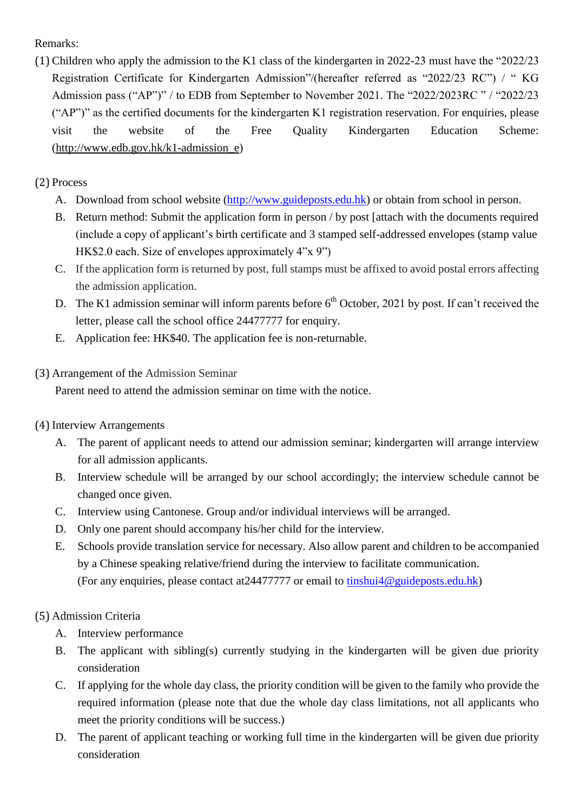Remarks:

(1) Children who apply the admission to the K1 class of the kindergarten in 2022-23 must have the "2022/23 Registration Certificate for Kindergarten Admission"/(hereafter referred as "2022/23 RC") / " KG Admission pass ("AP")" / to EDB from September to November 2021. The "2022/2023RC " / "2022/23 ("AP")" as the certified documents for the kindergarten K1 registration reservation. For enquiries, please visit the website of the Free Quality Kindergarten Education Scheme: [\(http://www.edb.gov.hk/k1-admission\\_e\)](http://www.edb.gov.hk/k1-admission_e)

## (2) Process

- A. Download from school website [\(http://www.guideposts.edu.hk\)](http://www.guideposts.edu.hk/en/index.php) or obtain from school in person.
- B. Return method: Submit the application form in person / by post [attach with the documents required (include a copy of applicant's birth certificate and 3 stamped self-addressed envelopes (stamp value HK\$2.0 each. Size of envelopes approximately 4"x 9")
- C. If the application form is returned by post, full stamps must be affixed to avoid postal errors affecting the admission application.
- D. The K1 admission seminar will inform parents before  $6<sup>th</sup>$  October, 2021 by post. If can't received the letter, please call the school office 24477777 for enquiry.
- E. Application fee: HK\$40. The application fee is non-returnable.

### (3) Arrangement of the Admission Seminar

Parent need to attend the admission seminar on time with the notice.

### (4) Interview Arrangements

- A. The parent of applicant needs to attend our admission seminar; kindergarten will arrange interview for all admission applicants.
- B. Interview schedule will be arranged by our school accordingly; the interview schedule cannot be changed once given.
- C. Interview using Cantonese. Group and/or individual interviews will be arranged.
- D. Only one parent should accompany his/her child for the interview.
- E. Schools provide translation service for necessary. Also allow parent and children to be accompanied by a Chinese speaking relative/friend during the interview to facilitate communication. (For any enquiries, please contact at24477777 or email to [tinshui4@guideposts.edu.hk\)](mailto:tinshui4@guideposts.edu.hk)

### (5) Admission Criteria

- A. Interview performance
- B. The applicant with sibling(s) currently studying in the kindergarten will be given due priority consideration
- C. If applying for the whole day class, the priority condition will be given to the family who provide the required information (please note that due the whole day class limitations, not all applicants who meet the priority conditions will be success.)
- D. The parent of applicant teaching or working full time in the kindergarten will be given due priority consideration